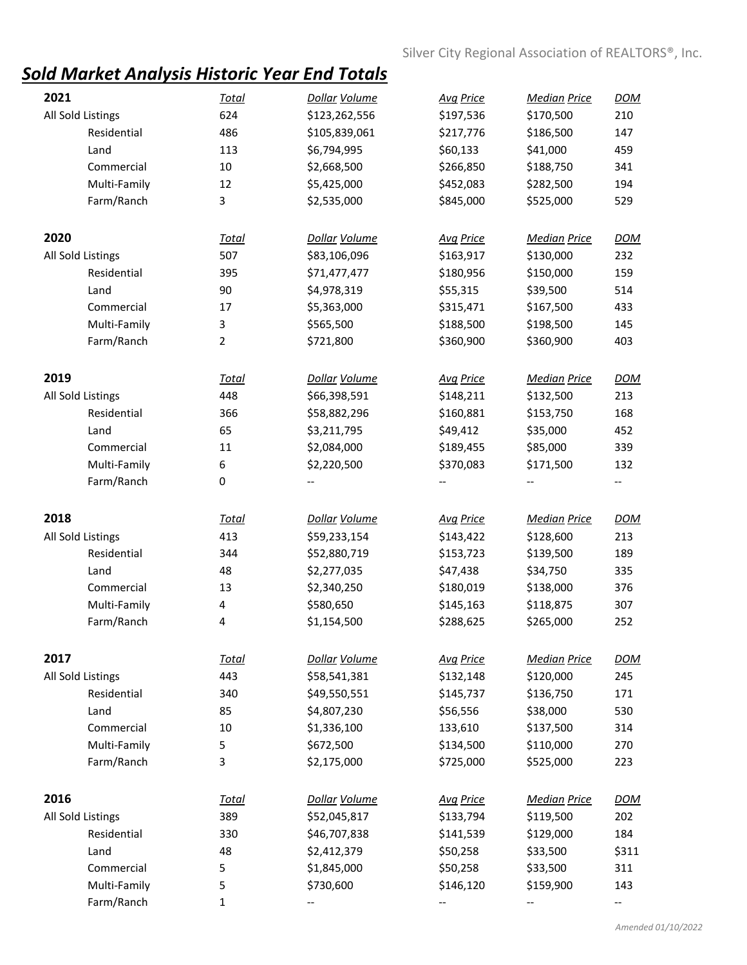## *Sold Market Analysis Historic Year End Totals*

| 2021              | <b>Total</b>   | Dollar Volume | <b>Avg Price</b> | <b>Median Price</b> | <b>DOM</b> |
|-------------------|----------------|---------------|------------------|---------------------|------------|
| All Sold Listings | 624            | \$123,262,556 | \$197,536        | \$170,500           | 210        |
| Residential       | 486            | \$105,839,061 | \$217,776        | \$186,500           | 147        |
| Land              | 113            | \$6,794,995   | \$60,133         | \$41,000            | 459        |
| Commercial        | 10             | \$2,668,500   | \$266,850        | \$188,750           | 341        |
| Multi-Family      | 12             | \$5,425,000   | \$452,083        | \$282,500           | 194        |
| Farm/Ranch        | 3              | \$2,535,000   | \$845,000        | \$525,000           | 529        |
| 2020              | <b>Total</b>   | Dollar Volume | <b>Avg Price</b> | <b>Median Price</b> | <b>DOM</b> |
| All Sold Listings | 507            | \$83,106,096  | \$163,917        | \$130,000           | 232        |
| Residential       | 395            | \$71,477,477  | \$180,956        | \$150,000           | 159        |
| Land              | 90             | \$4,978,319   | \$55,315         | \$39,500            | 514        |
| Commercial        | 17             | \$5,363,000   | \$315,471        | \$167,500           | 433        |
| Multi-Family      | 3              | \$565,500     | \$188,500        | \$198,500           | 145        |
| Farm/Ranch        | $\overline{2}$ | \$721,800     | \$360,900        | \$360,900           | 403        |
|                   |                |               |                  |                     |            |
| 2019              | <b>Total</b>   | Dollar Volume | <b>Avg Price</b> | <b>Median Price</b> | <b>DOM</b> |
| All Sold Listings | 448            | \$66,398,591  | \$148,211        | \$132,500           | 213        |
| Residential       | 366            | \$58,882,296  | \$160,881        | \$153,750           | 168        |
| Land              | 65             | \$3,211,795   | \$49,412         | \$35,000            | 452        |
| Commercial        | 11             | \$2,084,000   | \$189,455        | \$85,000            | 339        |
| Multi-Family      | 6              | \$2,220,500   | \$370,083        | \$171,500           | 132        |
| Farm/Ranch        | 0              |               |                  |                     | --         |
| 2018              | <b>Total</b>   | Dollar Volume | <b>Avg Price</b> | <b>Median Price</b> | <b>DOM</b> |
| All Sold Listings | 413            | \$59,233,154  | \$143,422        | \$128,600           | 213        |
| Residential       | 344            | \$52,880,719  | \$153,723        | \$139,500           | 189        |
| Land              | 48             | \$2,277,035   | \$47,438         | \$34,750            | 335        |
| Commercial        | 13             | \$2,340,250   | \$180,019        | \$138,000           | 376        |
| Multi-Family      | 4              | \$580,650     | \$145,163        | \$118,875           | 307        |
| Farm/Ranch        | 4              | \$1,154,500   | \$288,625        | \$265,000           | 252        |
| 2017              | <u>Total</u>   | Dollar Volume | <b>Avg Price</b> | <b>Median Price</b> | <b>DOM</b> |
| All Sold Listings | 443            | \$58,541,381  | \$132,148        | \$120,000           | 245        |
| Residential       | 340            | \$49,550,551  | \$145,737        | \$136,750           | 171        |
| Land              | 85             | \$4,807,230   | \$56,556         | \$38,000            | 530        |
| Commercial        | 10             | \$1,336,100   | 133,610          | \$137,500           | 314        |
| Multi-Family      | 5              | \$672,500     | \$134,500        | \$110,000           | 270        |
| Farm/Ranch        | 3              | \$2,175,000   | \$725,000        | \$525,000           | 223        |
| 2016              | <u>Total</u>   | Dollar Volume | <b>Avg Price</b> | <b>Median Price</b> | <b>DOM</b> |
| All Sold Listings | 389            | \$52,045,817  | \$133,794        | \$119,500           | 202        |
| Residential       | 330            | \$46,707,838  | \$141,539        | \$129,000           | 184        |
| Land              | 48             | \$2,412,379   | \$50,258         | \$33,500            | \$311      |
| Commercial        | 5              | \$1,845,000   | \$50,258         | \$33,500            | 311        |
| Multi-Family      | 5              | \$730,600     | \$146,120        | \$159,900           | 143        |
| Farm/Ranch        | 1              |               |                  |                     |            |
|                   |                |               |                  |                     | --         |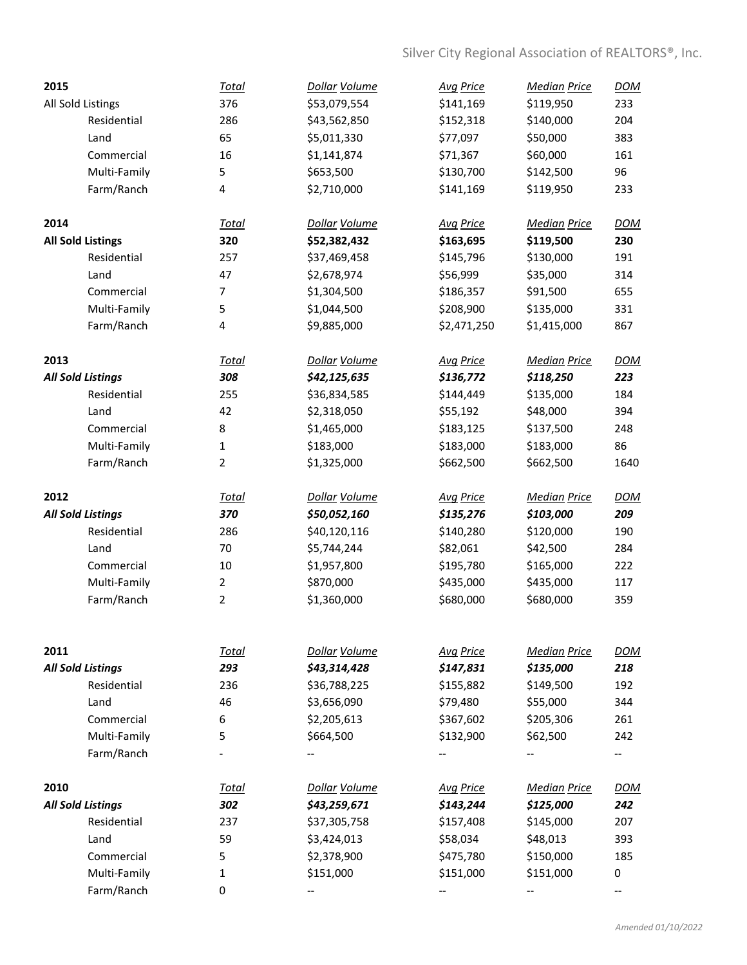| 2015 |                          | <b>Total</b>            | Dollar Volume | <b>Avg Price</b> | <b>Median Price</b> | <b>DOM</b> |
|------|--------------------------|-------------------------|---------------|------------------|---------------------|------------|
|      | All Sold Listings        | 376                     | \$53,079,554  | \$141,169        | \$119,950           | 233        |
|      | Residential              | 286                     | \$43,562,850  | \$152,318        | \$140,000           | 204        |
|      | Land                     | 65                      | \$5,011,330   | \$77,097         | \$50,000            | 383        |
|      | Commercial               | 16                      | \$1,141,874   | \$71,367         | \$60,000            | 161        |
|      | Multi-Family             | 5                       | \$653,500     | \$130,700        | \$142,500           | 96         |
|      | Farm/Ranch               | 4                       | \$2,710,000   | \$141,169        | \$119,950           | 233        |
| 2014 |                          | <b>Total</b>            | Dollar Volume | <b>Avg Price</b> | <b>Median Price</b> | <b>DOM</b> |
|      | <b>All Sold Listings</b> | 320                     | \$52,382,432  | \$163,695        | \$119,500           | 230        |
|      | Residential              | 257                     | \$37,469,458  | \$145,796        | \$130,000           | 191        |
|      | Land                     | 47                      | \$2,678,974   | \$56,999         | \$35,000            | 314        |
|      | Commercial               | 7                       | \$1,304,500   | \$186,357        | \$91,500            | 655        |
|      | Multi-Family             | 5                       | \$1,044,500   | \$208,900        | \$135,000           | 331        |
|      | Farm/Ranch               | $\overline{\mathbf{4}}$ | \$9,885,000   | \$2,471,250      | \$1,415,000         | 867        |
| 2013 |                          | Total                   | Dollar Volume | <b>Avg Price</b> | <b>Median Price</b> | <b>DOM</b> |
|      | <b>All Sold Listings</b> | 308                     | \$42,125,635  | \$136,772        | \$118,250           | 223        |
|      | Residential              | 255                     | \$36,834,585  | \$144,449        | \$135,000           | 184        |
|      | Land                     | 42                      | \$2,318,050   | \$55,192         | \$48,000            | 394        |
|      | Commercial               | 8                       | \$1,465,000   | \$183,125        | \$137,500           | 248        |
|      | Multi-Family             | $\mathbf{1}$            | \$183,000     | \$183,000        | \$183,000           | 86         |
|      | Farm/Ranch               | $\overline{2}$          | \$1,325,000   | \$662,500        | \$662,500           | 1640       |
|      |                          |                         |               |                  |                     |            |
| 2012 |                          | <b>Total</b>            | Dollar Volume | <b>Avg Price</b> | <b>Median Price</b> | <b>DOM</b> |
|      | <b>All Sold Listings</b> | 370                     | \$50,052,160  | \$135,276        | \$103,000           | 209        |
|      | Residential              | 286                     | \$40,120,116  | \$140,280        | \$120,000           | 190        |
|      | Land                     | 70                      | \$5,744,244   | \$82,061         | \$42,500            | 284        |
|      | Commercial               | 10                      | \$1,957,800   | \$195,780        | \$165,000           | 222        |
|      | Multi-Family             | $\overline{2}$          | \$870,000     | \$435,000        | \$435,000           | 117        |
|      | Farm/Ranch               | $\overline{2}$          | \$1,360,000   | \$680,000        | \$680,000           | 359        |
|      |                          |                         |               |                  |                     |            |
| 2011 |                          | Total                   | Dollar Volume | <b>Avg Price</b> | <b>Median Price</b> | <b>DOM</b> |
|      | <b>All Sold Listings</b> | 293                     | \$43,314,428  | \$147,831        | \$135,000           | 218        |
|      | Residential              | 236                     | \$36,788,225  | \$155,882        | \$149,500           | 192        |
|      | Land                     | 46                      | \$3,656,090   | \$79,480         | \$55,000            | 344        |
|      | Commercial               | 6                       | \$2,205,613   | \$367,602        | \$205,306           | 261        |
|      | Multi-Family             | 5                       | \$664,500     | \$132,900        | \$62,500            | 242        |
|      | Farm/Ranch               |                         |               |                  |                     | --         |
| 2010 |                          | <u>Total</u>            | Dollar Volume | <b>Avg Price</b> | <b>Median Price</b> | <b>DOM</b> |
|      | <b>All Sold Listings</b> | 302                     | \$43,259,671  | \$143,244        | \$125,000           | 242        |
|      | Residential              | 237                     | \$37,305,758  | \$157,408        | \$145,000           | 207        |
|      | Land                     | 59                      | \$3,424,013   | \$58,034         | \$48,013            | 393        |
|      | Commercial               | 5                       | \$2,378,900   | \$475,780        | \$150,000           | 185        |
|      | Multi-Family             | $\mathbf{1}$            | \$151,000     | \$151,000        | \$151,000           | 0          |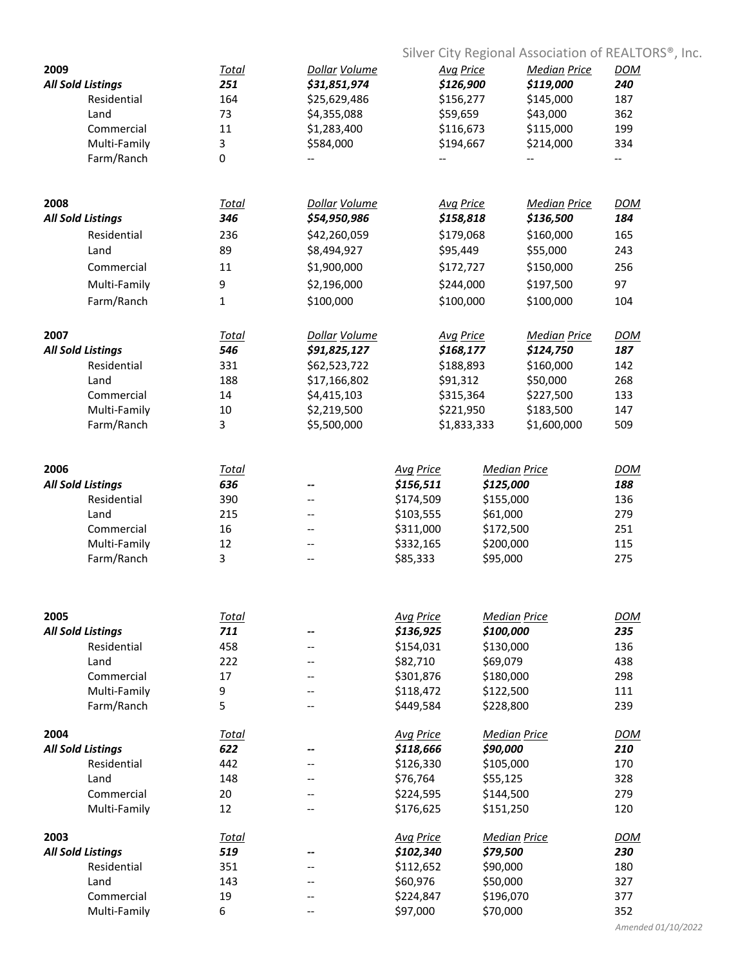|                          |              |                      |                  |                  | Silver City Regional Association of REALTORS®, Inc. |            |  |
|--------------------------|--------------|----------------------|------------------|------------------|-----------------------------------------------------|------------|--|
| 2009                     | <u>Total</u> | <b>Dollar Volume</b> | <b>Avg Price</b> |                  | <b>Median Price</b>                                 | <b>DOM</b> |  |
| <b>All Sold Listings</b> | 251          | \$31,851,974         |                  | \$126,900        | \$119,000                                           | 240        |  |
| Residential              | 164          | \$25,629,486         |                  | \$156,277        | \$145,000                                           | 187        |  |
| Land                     | 73           | \$4,355,088          | \$59,659         |                  | \$43,000                                            | 362        |  |
| Commercial               | 11           | \$1,283,400          |                  | \$116,673        | \$115,000                                           | 199        |  |
| Multi-Family             | 3            | \$584,000            | \$194,667        |                  | \$214,000                                           | 334        |  |
| Farm/Ranch               | 0            |                      |                  |                  |                                                     | --         |  |
|                          |              |                      |                  |                  |                                                     |            |  |
| 2008                     | Total        | Dollar Volume        | <b>Avg Price</b> |                  | <b>Median Price</b>                                 | <b>DOM</b> |  |
| <b>All Sold Listings</b> | 346          | \$54,950,986         |                  | \$158,818        | \$136,500                                           | 184        |  |
| Residential              | 236          | \$42,260,059         |                  | \$179,068        | \$160,000                                           | 165        |  |
| Land                     | 89           | \$8,494,927          | \$95,449         |                  | \$55,000                                            | 243        |  |
| Commercial               | 11           | \$1,900,000          |                  | \$172,727        | \$150,000                                           | 256        |  |
| Multi-Family             | 9            | \$2,196,000          |                  | \$244,000        | \$197,500                                           | 97         |  |
| Farm/Ranch               | 1            | \$100,000            |                  | \$100,000        | \$100,000                                           | 104        |  |
|                          |              |                      |                  |                  |                                                     |            |  |
| 2007                     | Total        | Dollar Volume        |                  | <b>Avg Price</b> | <b>Median Price</b>                                 | <b>DOM</b> |  |
| <b>All Sold Listings</b> | 546          | \$91,825,127         |                  | \$168,177        | \$124,750                                           | 187        |  |
| Residential              | 331          | \$62,523,722         |                  | \$188,893        | \$160,000                                           | 142        |  |
| Land                     | 188          | \$17,166,802         | \$91,312         |                  | \$50,000                                            | 268        |  |
| Commercial               | 14           | \$4,415,103          |                  | \$315,364        | \$227,500                                           | 133        |  |
| Multi-Family             | 10           | \$2,219,500          |                  | \$221,950        | \$183,500                                           | 147        |  |
| Farm/Ranch               | 3            | \$5,500,000          |                  | \$1,833,333      | \$1,600,000                                         | 509        |  |
|                          |              |                      |                  |                  |                                                     |            |  |
| 2006                     | <b>Total</b> |                      | <b>Avg Price</b> |                  | <b>Median Price</b>                                 | <b>DOM</b> |  |
| <b>All Sold Listings</b> | 636          | --                   | \$156,511        | \$125,000        |                                                     | 188        |  |
| Residential              | 390          |                      | \$174,509        | \$155,000        |                                                     | 136        |  |
| Land                     | 215          | --                   | \$103,555        | \$61,000         |                                                     | 279        |  |
| Commercial               | 16           |                      | \$311,000        | \$172,500        |                                                     | 251        |  |
| Multi-Family             | 12           | --                   | \$332,165        | \$200,000        |                                                     | 115        |  |
| Farm/Ranch               | 3            | --                   | \$85,333         | \$95,000         |                                                     | 275        |  |
|                          |              |                      |                  |                  |                                                     |            |  |
| 2005                     | Total        |                      | <b>Avg Price</b> |                  | <b>Median Price</b>                                 | <b>DOM</b> |  |
| <b>All Sold Listings</b> | 711          | --                   | \$136,925        | \$100,000        |                                                     | 235        |  |
| Residential              | 458          |                      | \$154,031        | \$130,000        |                                                     | 136        |  |
| Land                     | 222          |                      | \$82,710         | \$69,079         |                                                     | 438        |  |
| Commercial               | 17           | --                   | \$301,876        | \$180,000        |                                                     | 298        |  |
| Multi-Family             | 9            | --                   | \$118,472        | \$122,500        |                                                     | 111        |  |
| Farm/Ranch               | 5            | --                   | \$449,584        | \$228,800        |                                                     | 239        |  |
| 2004                     | <u>Total</u> |                      | <b>Avg Price</b> |                  | <b>Median Price</b>                                 | <b>DOM</b> |  |
| <b>All Sold Listings</b> | 622          |                      | \$118,666        | \$90,000         |                                                     | 210        |  |
| Residential              | 442          |                      | \$126,330        | \$105,000        |                                                     | 170        |  |
| Land                     | 148          |                      | \$76,764         | \$55,125         |                                                     | 328        |  |
| Commercial               | 20           |                      | \$224,595        | \$144,500        |                                                     | 279        |  |
| Multi-Family             | 12           | --                   | \$176,625        | \$151,250        |                                                     | 120        |  |
| 2003                     | <b>Total</b> |                      | <b>Avg Price</b> |                  | <b>Median Price</b>                                 | <b>DOM</b> |  |
| <b>All Sold Listings</b> | 519          | --                   | \$102,340        | \$79,500         |                                                     | 230        |  |
| Residential              | 351          |                      | \$112,652        | \$90,000         |                                                     | 180        |  |
| Land                     | 143          | --                   | \$60,976         | \$50,000         |                                                     | 327        |  |
| Commercial               | 19           | --                   | \$224,847        | \$196,070        |                                                     | 377        |  |
| Multi-Family             | 6            | --                   | \$97,000         | \$70,000         |                                                     | 352        |  |